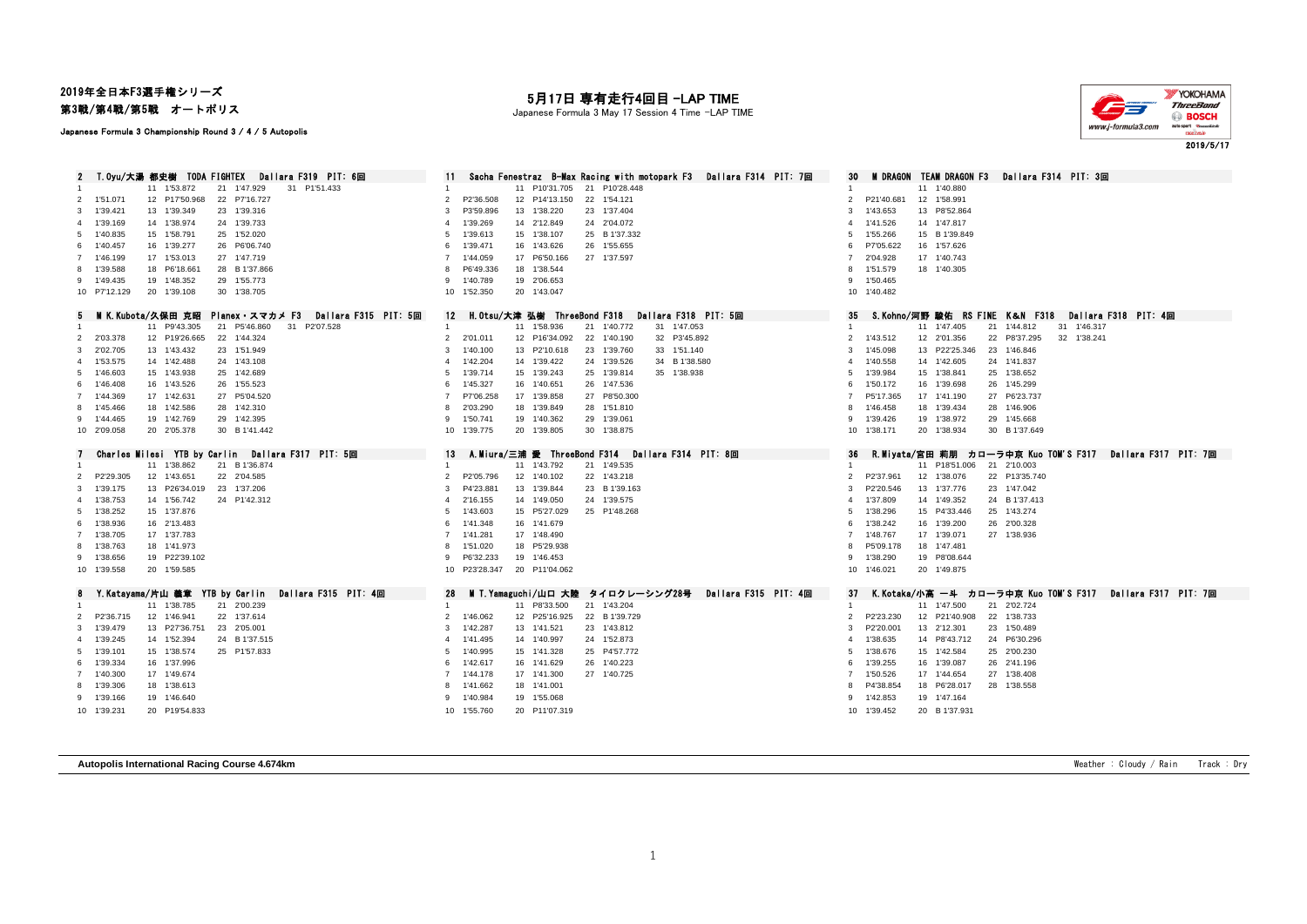# 2019年全日本F3選手権シリーズ

第3戦/第4戦/第5戦 オートポリス

#### Japanese Formula 3 Championship Round 3 / 4 / 5 Autopolis

## 月17日 専有走行4回目 -LAP TIME

Japanese Formula 3 May 17 Session 4 Time -LAP TIME



2019/5/17

2 T.Oyu/大湯 都史樹 TODA FIGHTEX Dallara F319 PIT: 6回 11 Sacha Fenestraz B-Max Racing with motopark F3 Dallara F314 PIT: 7回 30 M DRAGON TEAM DRAGON F3 Dallara F314 PIT: 3回<br>1 11 1/40,880 21 1/47,929 31 P1/51.433 4 1 1/40 11 P1 11 1'53.872 21 1'47.929 31 P1'51.433 1 11 210.880 1 11 210'31.705 21 P10'28.448 1 11 21:00 11 11:00.880 1 11 2<br>12 P17'50.968 22 P7'16.727 1 28.991 1 2 2 2 2 3 2 3 3 4 5 4 5 5 6 7 7 8 4 6 7 7 8 7 8 7 8 7 8 7 8 7 8 8 9 1 1 1'51.071 12 P17'50.968 22 P7'16.727 2 P2'36.508 12 P14'13.150 22 1'54.121 2 P21'40.681 12 1'58.991 1'39.421 13 1'39.349 23 1'39.316 3 P3'59.896 13 1'38.220 23 1'37.404 3 1'43.653 13 P8'52.864 1'39.169 14 1'38.974 24 1'39.733 4 1'39.269 14 2'12.849 24 2'04.072 4 1'41.526 14 1'47.817 1'40.835 15 1'58.791 25 1'52.020 5 1'39.613 15 1'38.107 25 B 1'37.332 5 1'55.266 15 B 1'39.849 1'40.457 16 1'39.277 26 P6'06.740 6 1'39.471 16 1'43.626 26 1'55.655 6 P7'05.622 16 1'57.626 1'46.199 17 1'53.013 27 1'47.719 7 1'44.059 17 P6'50.166 27 1'37.597 7 2'04.928 17 1'40.743 1'39.588 18 P6'18.661 28 B 1'37.866 8 P6'49.336 18 1'38.544 8 1'51.579 18 1'40.305 1'49.435 19 1'48.352 29 1'55.773 9 1'40.789 19 2'06.653 9 1'50.465 P7'12.129 20 1'39.108 30 1'38.705 10 1'52.350 20 1'43.047 10 1'40.482 5 MIK.Kubota/久保田 克昭 Planex・スマカメ F3 Dallara F315 PIT: 5回 12 H.Otsu/大津 弘樹 ThreeBond F318 Dallara F318 PIT: 5回 35 S.Kohno/河野 駿佑 RS FINE K&N F318 Dallara F318 PIT: 4回<br>1 11 P9143 305 21 P5146 860 31 P207528 4 1 158 936 21 114 11 11 12 13:305 21 P5'46.860 31 P2'07.528 1 11 11 11 11 11 11 158.936 21 1'40.772 31 1'47.053 1 11 11 11 11 1<br>12 P19'26.665 22 1'44.324 1 2011 2011 2011 12 P16'34.092 22 1'40.190 32 P3'45.892 21 1'45.512 12 201.356 22 P8' 2'03.378 12 P19'26.665 22 1'44.324 2 2'01.011 12 P16'34.092 22 1'40.190 32 P3'45.892 2 1'43.512 12 2'01.356 22 P8'37.295 32 1'38.241 2'02.705 13 1'43.432 23 1'51.949 3 1'40.100 13 P2'10.618 23 1'39.760 33 1'51.140 3 1'45.098 13 P22'25.346 23 1'46.846 1'53.575 14 1'42.488 24 1'43.108 4 1'42.204 14 1'39.422 24 1'39.526 34 B 1'38.580 4 1'40.558 14 1'42.605 24 1'41.837 1'46.603 15 1'43.938 25 1'42.689 5 1'39.714 15 1'39.243 25 1'39.814 35 1'38.938 5 1'39.984 15 1'38.841 25 1'38.652 1'46.408 16 1'43.526 26 1'55.523 6 1'45.327 16 1'40.651 26 1'47.536 6 1'50.172 16 1'39.698 26 1'45.299 1'44.369 17 1'42.631 27 P5'04.520 7 P7'06.258 17 1'39.858 27 P8'50.300 7 P5'17.365 17 1'41.190 27 P6'23.737 1'45.466 18 1'42.586 28 1'42.310 8 2'03.290 18 1'39.849 28 1'51.810 8 1'46.458 18 1'39.434 28 1'46.906 1'44.465 19 1'42.769 29 1'42.395 9 1'50.741 19 1'40.362 29 1'39.061 9 1'39.426 19 1'38.972 29 1'45.668 2'09.058 20 2'05.378 30 B 1'41.442 10 1'39.775 20 1'39.805 30 1'38.875 10 1'38.171 20 1'38.934 30 B 1'37.649 7 Charles Milesi YTB by Carlin Dallara F317 PIT: 5回 13 A.Miura/三浦 愛 ThreeBond F314 Dallara F314 PIT: 8回 36 R.Miyata/宮田 莉朋 カローラ中京 Kuo TOM'S F317 Dallara F317 PIT: 7回 11 1'38.862 21 B 1'36.874 1 11 1'43.792 21 1'49.535 1 11 P18'51.006 21 2'10.003 P2'29.305 12 1'43.651 22 2'04.585 2 P2'05.796 12 1'40.102 22 1'43.218 2 P2'37.961 12 1'38.076 22 P13'35.740 1'39.175 13 P26'34.019 23 1'37.206 3 P4'23.881 13 1'39.844 23 B 1'39.163 3 P2'20.546 13 1'37.776 23 1'47.042 1'38.753 14 1'56.742 24 P1'42.312 4 2'16.155 14 1'49.050 24 1'39.575 4 1'37.809 14 1'49.352 24 B 1'37.413 1'38.252 15 1'37.876 5 1'43.603 15 P5'27.029 25 P1'48.268 5 1'38.296 15 P4'33.446 25 1'43.274 1'38.936 16 2'13.483 6 1'41.348 16 1'41.679 6 1'38.242 16 1'39.200 26 2'00.328 1'38.705 17 1'37.783 7 1'41.281 17 1'48.490 7 1'48.767 17 1'39.071 27 1'38.936 1'38.763 18 1'41.973 8 1'51.020 18 P5'29.938 8 P5'09.178 18 1'47.481 1'38.656 19 P22'39.102 9 P6'32.233 19 1'46.453 9 1'38.290 19 P8'08.644 1'39.558 20 1'59.585 10 P23'28.347 20 P11'04.062 10 1'46.021 20 1'49.875 Y.Katayama/片山 義章 YTB by Carlin Dallara F315 PIT: 4回 28 M T.Yamaguchi/山口 大陸 タイロクレーシング28号 Dallara F315 PIT: 4回 37 K.Kotaka/小高 一斗 カローラ中京 Kuo TOM'S F317 Dallara F317 PIT: 7回 11 1'38.785 21 2'00.239 1 11 P8'33.500 21 1'43.204 1 11 1'47.500 21 2'02.724 P2'36.715 12 1'46.941 22 1'37.614 2 1'46.062 12 P25'16.925 22 B 1'39.729 2 P2'23.230 12 P21'40.908 22 1'38.733 1'39.479 13 P27'36.751 23 2'05.001 3 1'42.287 13 1'41.521 23 1'43.812 3 P2'20.001 13 2'12.301 23 1'50.489 1'39.245 14 1'52.394 24 B 1'37.515 4 1'41.495 14 1'40.997 24 1'52.873 4 1'38.635 14 P8'43.712 24 P6'30.296 1'39.101 15 1'38.574 25 P1'57.833 5 1'40.995 15 1'41.328 25 P4'57.772 5 1'38.676 15 1'42.584 25 2'00.230 1'39.334 16 1'37.996 6 1'42.617 16 1'41.629 26 1'40.223 6 1'39.255 16 1'39.087 26 2'41.196 1'40.300 17 1'49.674 7 1'44.178 17 1'41.300 27 1'40.725 7 1'50.526 17 1'44.654 27 1'38.408 1'39.306 18 1'38.613 8 1'41.662 18 1'41.001 8 P4'38.854 18 P6'28.017 28 1'38.558 1'39.166 19 1'46.640 9 1'40.984 19 1'55.068 9 1'42.853 19 1'47.164 1'39.231 20 P19'54.833 10 1'55.760 20 P11'07.319 10 1'39.452 20 B 1'37.931

**Autopolis International Racing Course 4.674km** Weather : Cloudy / Rain Track : Dry